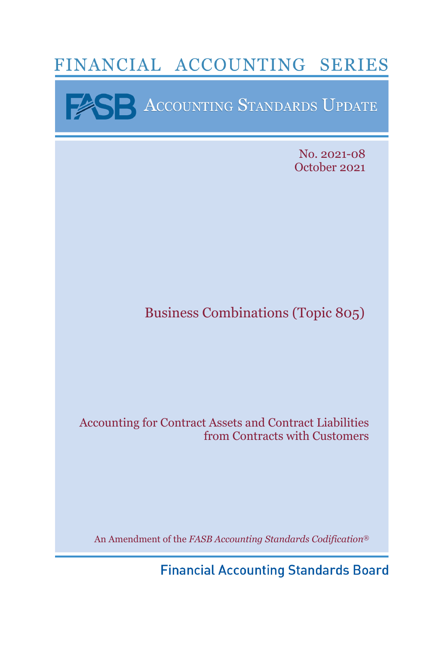# FINANCIAL ACCOUNTING SERIES

**EXERENCE ACCOUNTING STANDARDS UPDATE** 

No. 2021-08 October 2021

# Business Combinations (Topic 805)

# Accounting for Contract Assets and Contract Liabilities from Contracts with Customers

An Amendment of the *FASB Accounting Standards Codification*®

**Financial Accounting Standards Board**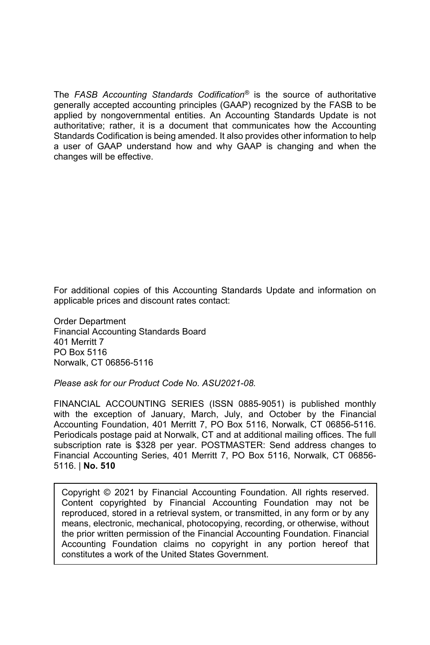The *FASB Accounting Standards Codification®* is the source of authoritative generally accepted accounting principles (GAAP) recognized by the FASB to be applied by nongovernmental entities. An Accounting Standards Update is not authoritative; rather, it is a document that communicates how the Accounting Standards Codification is being amended. It also provides other information to help a user of GAAP understand how and why GAAP is changing and when the changes will be effective.

For additional copies of this Accounting Standards Update and information on applicable prices and discount rates contact:

Order Department Financial Accounting Standards Board 401 Merritt 7 PO Box 5116 Norwalk, CT 06856-5116

*Please ask for our Product Code No. ASU2021-08.* 

FINANCIAL ACCOUNTING SERIES (ISSN 0885-9051) is published monthly with the exception of January, March, July, and October by the Financial Accounting Foundation, 401 Merritt 7, PO Box 5116, Norwalk, CT 06856-5116. Periodicals postage paid at Norwalk, CT and at additional mailing offices. The full subscription rate is \$328 per year. POSTMASTER: Send address changes to Financial Accounting Series, 401 Merritt 7, PO Box 5116, Norwalk, CT 06856- 5116. | **No. 510**

Copyright © 2021 by Financial Accounting Foundation. All rights reserved. Content copyrighted by Financial Accounting Foundation may not be reproduced, stored in a retrieval system, or transmitted, in any form or by any means, electronic, mechanical, photocopying, recording, or otherwise, without the prior written permission of the Financial Accounting Foundation. Financial Accounting Foundation claims no copyright in any portion hereof that constitutes a work of the United States Government.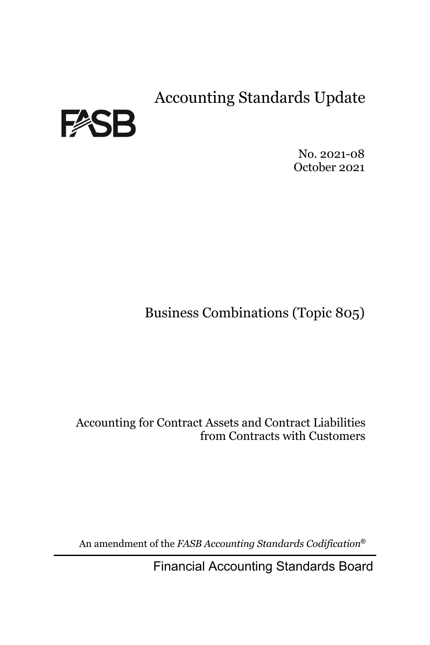Accounting Standards Update



No. 2021-08 October 2021

Business Combinations (Topic 805)

Accounting for Contract Assets and Contract Liabilities from Contracts with Customers

An amendment of the *FASB Accounting Standards Codification*®

Financial Accounting Standards Board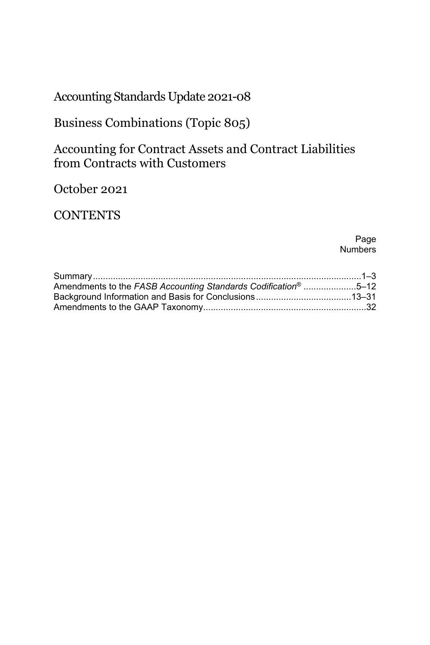Accounting Standards Update 2021-08

Business Combinations (Topic 805)

Accounting for Contract Assets and Contract Liabilities from Contracts with Customers

October 2021

**CONTENTS** 

Page **Numbers** 

| Amendments to the FASB Accounting Standards Codification <sup>®</sup> 5–12 |  |
|----------------------------------------------------------------------------|--|
|                                                                            |  |
|                                                                            |  |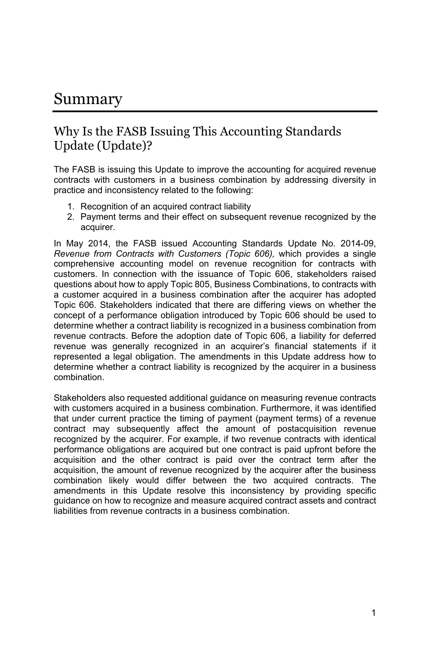# Summary

## Why Is the FASB Issuing This Accounting Standards Update (Update)?

The FASB is issuing this Update to improve the accounting for acquired revenue contracts with customers in a business combination by addressing diversity in practice and inconsistency related to the following:

- 1. Recognition of an acquired contract liability
- 2. Payment terms and their effect on subsequent revenue recognized by the acquirer.

In May 2014, the FASB issued Accounting Standards Update No. 2014-09, *Revenue from Contracts with Customers (Topic 606),* which provides a single comprehensive accounting model on revenue recognition for contracts with customers. In connection with the issuance of Topic 606, stakeholders raised questions about how to apply Topic 805, Business Combinations, to contracts with a customer acquired in a business combination after the acquirer has adopted Topic 606. Stakeholders indicated that there are differing views on whether the concept of a performance obligation introduced by Topic 606 should be used to determine whether a contract liability is recognized in a business combination from revenue contracts. Before the adoption date of Topic 606, a liability for deferred revenue was generally recognized in an acquirer's financial statements if it represented a legal obligation. The amendments in this Update address how to determine whether a contract liability is recognized by the acquirer in a business combination.

Stakeholders also requested additional guidance on measuring revenue contracts with customers acquired in a business combination. Furthermore, it was identified that under current practice the timing of payment (payment terms) of a revenue contract may subsequently affect the amount of postacquisition revenue recognized by the acquirer. For example, if two revenue contracts with identical performance obligations are acquired but one contract is paid upfront before the acquisition and the other contract is paid over the contract term after the acquisition, the amount of revenue recognized by the acquirer after the business combination likely would differ between the two acquired contracts. The amendments in this Update resolve this inconsistency by providing specific guidance on how to recognize and measure acquired contract assets and contract liabilities from revenue contracts in a business combination.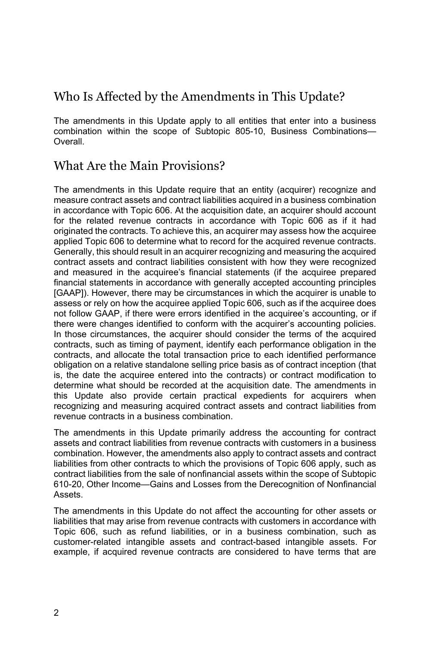# Who Is Affected by the Amendments in This Update?

The amendments in this Update apply to all entities that enter into a business combination within the scope of Subtopic 805-10, Business Combinations— Overall.

# What Are the Main Provisions?

The amendments in this Update require that an entity (acquirer) recognize and measure contract assets and contract liabilities acquired in a business combination in accordance with Topic 606. At the acquisition date, an acquirer should account for the related revenue contracts in accordance with Topic 606 as if it had originated the contracts. To achieve this, an acquirer may assess how the acquiree applied Topic 606 to determine what to record for the acquired revenue contracts. Generally, this should result in an acquirer recognizing and measuring the acquired contract assets and contract liabilities consistent with how they were recognized and measured in the acquiree's financial statements (if the acquiree prepared financial statements in accordance with generally accepted accounting principles [GAAP]). However, there may be circumstances in which the acquirer is unable to assess or rely on how the acquiree applied Topic 606, such as if the acquiree does not follow GAAP, if there were errors identified in the acquiree's accounting, or if there were changes identified to conform with the acquirer's accounting policies. In those circumstances, the acquirer should consider the terms of the acquired contracts, such as timing of payment, identify each performance obligation in the contracts, and allocate the total transaction price to each identified performance obligation on a relative standalone selling price basis as of contract inception (that is, the date the acquiree entered into the contracts) or contract modification to determine what should be recorded at the acquisition date. The amendments in this Update also provide certain practical expedients for acquirers when recognizing and measuring acquired contract assets and contract liabilities from revenue contracts in a business combination.

The amendments in this Update primarily address the accounting for contract assets and contract liabilities from revenue contracts with customers in a business combination. However, the amendments also apply to contract assets and contract liabilities from other contracts to which the provisions of Topic 606 apply, such as contract liabilities from the sale of nonfinancial assets within the scope of Subtopic 610-20, Other Income—Gains and Losses from the Derecognition of Nonfinancial Assets.

The amendments in this Update do not affect the accounting for other assets or liabilities that may arise from revenue contracts with customers in accordance with Topic 606, such as refund liabilities, or in a business combination, such as customer-related intangible assets and contract-based intangible assets. For example, if acquired revenue contracts are considered to have terms that are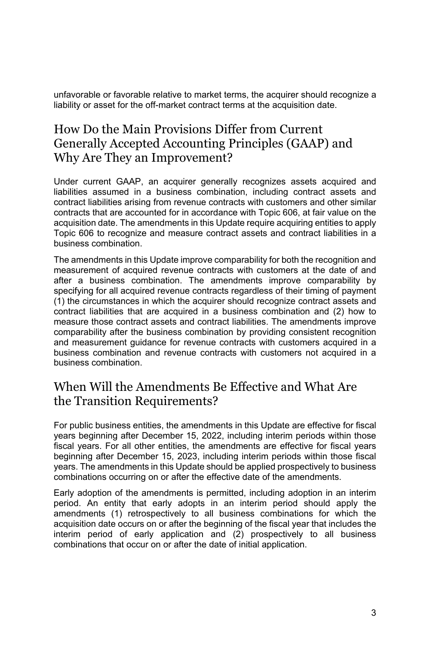unfavorable or favorable relative to market terms, the acquirer should recognize a liability or asset for the off-market contract terms at the acquisition date.

# How Do the Main Provisions Differ from Current Generally Accepted Accounting Principles (GAAP) and Why Are They an Improvement?

Under current GAAP, an acquirer generally recognizes assets acquired and liabilities assumed in a business combination, including contract assets and contract liabilities arising from revenue contracts with customers and other similar contracts that are accounted for in accordance with Topic 606, at fair value on the acquisition date. The amendments in this Update require acquiring entities to apply Topic 606 to recognize and measure contract assets and contract liabilities in a business combination.

The amendments in this Update improve comparability for both the recognition and measurement of acquired revenue contracts with customers at the date of and after a business combination. The amendments improve comparability by specifying for all acquired revenue contracts regardless of their timing of payment (1) the circumstances in which the acquirer should recognize contract assets and contract liabilities that are acquired in a business combination and (2) how to measure those contract assets and contract liabilities. The amendments improve comparability after the business combination by providing consistent recognition and measurement guidance for revenue contracts with customers acquired in a business combination and revenue contracts with customers not acquired in a business combination.

## When Will the Amendments Be Effective and What Are the Transition Requirements?

For public business entities, the amendments in this Update are effective for fiscal years beginning after December 15, 2022, including interim periods within those fiscal years. For all other entities, the amendments are effective for fiscal years beginning after December 15, 2023, including interim periods within those fiscal years. The amendments in this Update should be applied prospectively to business combinations occurring on or after the effective date of the amendments.

Early adoption of the amendments is permitted, including adoption in an interim period. An entity that early adopts in an interim period should apply the amendments (1) retrospectively to all business combinations for which the acquisition date occurs on or after the beginning of the fiscal year that includes the interim period of early application and (2) prospectively to all business combinations that occur on or after the date of initial application.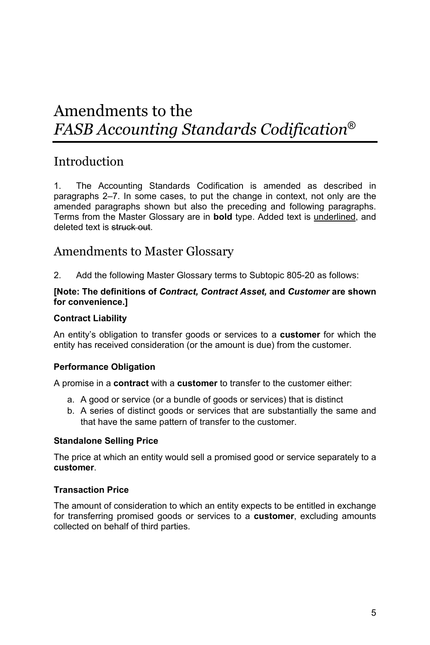# Amendments to the *FASB Accounting Standards Codification*®

## **Introduction**

1. The Accounting Standards Codification is amended as described in paragraphs 2–7. In some cases, to put the change in context, not only are the amended paragraphs shown but also the preceding and following paragraphs. Terms from the Master Glossary are in **bold** type. Added text is underlined, and deleted text is struck out.

### Amendments to Master Glossary

2. Add the following Master Glossary terms to Subtopic 805-20 as follows:

#### **[Note: The definitions of** *Contract, Contract Asset,* **and** *Customer* **are shown for convenience.]**

#### **Contract Liability**

An entity's obligation to transfer goods or services to a **customer** for which the entity has received consideration (or the amount is due) from the customer.

#### **Performance Obligation**

A promise in a **contract** with a **customer** to transfer to the customer either:

- a. A good or service (or a bundle of goods or services) that is distinct
- b. A series of distinct goods or services that are substantially the same and that have the same pattern of transfer to the customer.

#### **Standalone Selling Price**

The price at which an entity would sell a promised good or service separately to a **customer**.

#### **Transaction Price**

The amount of consideration to which an entity expects to be entitled in exchange for transferring promised goods or services to a **customer**, excluding amounts collected on behalf of third parties.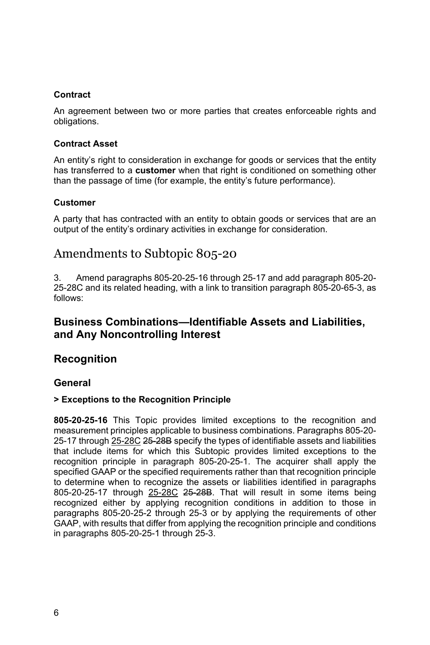#### **Contract**

An agreement between two or more parties that creates enforceable rights and obligations.

#### **Contract Asset**

An entity's right to consideration in exchange for goods or services that the entity has transferred to a **customer** when that right is conditioned on something other than the passage of time (for example, the entity's future performance).

#### **Customer**

A party that has contracted with an entity to obtain goods or services that are an output of the entity's ordinary activities in exchange for consideration.

## Amendments to Subtopic 805-20

3. Amend paragraphs 805-20-25-16 through 25-17 and add paragraph 805-20- 25-28C and its related heading, with a link to transition paragraph 805-20-65-3, as follows:

### **Business Combinations—Identifiable Assets and Liabilities, and Any Noncontrolling Interest**

### **Recognition**

#### **General**

#### **> Exceptions to the Recognition Principle**

**805-20-25-16** This Topic provides limited exceptions to the recognition and measurement principles applicable to business combinations. Paragraphs 805-20- 25-17 through 25-28C 25-28B specify the types of identifiable assets and liabilities that include items for which this Subtopic provides limited exceptions to the recognition principle in paragraph 805-20-25-1. The acquirer shall apply the specified GAAP or the specified requirements rather than that recognition principle to determine when to recognize the assets or liabilities identified in paragraphs 805-20-25-17 through 25-28C 25-28B. That will result in some items being recognized either by applying recognition conditions in addition to those in paragraphs 805-20-25-2 through 25-3 or by applying the requirements of other GAAP, with results that differ from applying the recognition principle and conditions in paragraphs 805-20-25-1 through 25-3.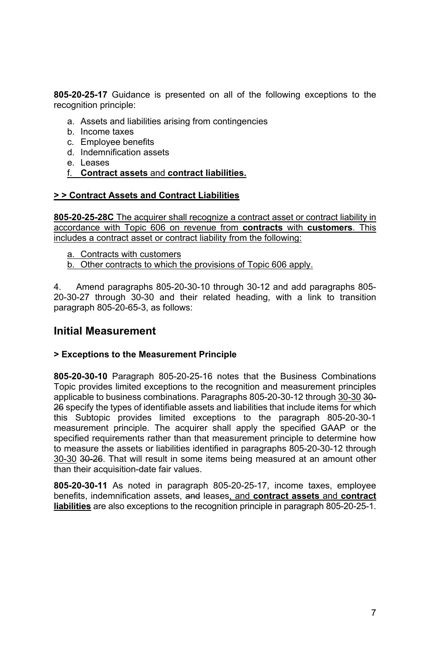**805-20-25-17** Guidance is presented on all of the following exceptions to the recognition principle:

- a. Assets and liabilities arising from contingencies
- b. Income taxes
- c. Employee benefits
- d. Indemnification assets
- e. Leases
- f. **Contract assets** and **contract liabilities.**

#### **> > Contract Assets and Contract Liabilities**

**805-20-25-28C** The acquirer shall recognize a contract asset or contract liability in accordance with Topic 606 on revenue from **contracts** with **customers**. This includes a contract asset or contract liability from the following:

- a. Contracts with customers
- b. Other contracts to which the provisions of Topic 606 apply.

4. Amend paragraphs 805-20-30-10 through 30-12 and add paragraphs 805- 20-30-27 through 30-30 and their related heading, with a link to transition paragraph 805-20-65-3, as follows:

#### **Initial Measurement**

#### **> Exceptions to the Measurement Principle**

**805-20-30-10** Paragraph 805-20-25-16 notes that the Business Combinations Topic provides limited exceptions to the recognition and measurement principles applicable to business combinations. Paragraphs 805-20-30-12 through 30-30 30-26 specify the types of identifiable assets and liabilities that include items for which this Subtopic provides limited exceptions to the paragraph 805-20-30-1 measurement principle. The acquirer shall apply the specified GAAP or the specified requirements rather than that measurement principle to determine how to measure the assets or liabilities identified in paragraphs 805-20-30-12 through 30-30 30-26. That will result in some items being measured at an amount other than their acquisition-date fair values.

**805-20-30-11** As noted in paragraph 805-20-25-17, income taxes, employee benefits, indemnification assets, and leases, and **contract assets** and **contract liabilities** are also exceptions to the recognition principle in paragraph 805-20-25-1.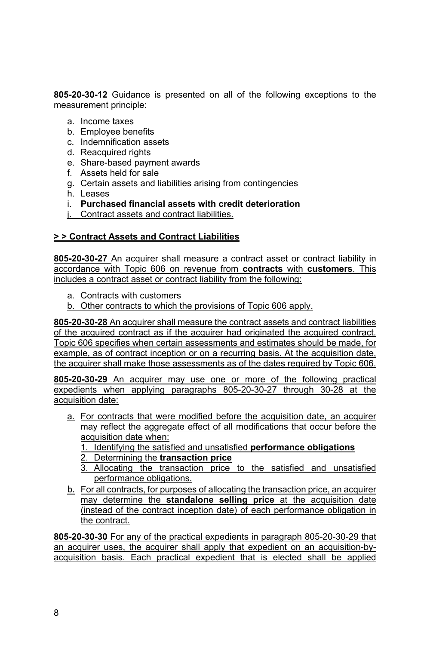**805-20-30-12** Guidance is presented on all of the following exceptions to the measurement principle:

- a. Income taxes
- b. Employee benefits
- c. Indemnification assets
- d. Reacquired rights
- e. Share-based payment awards
- f. Assets held for sale
- g. Certain assets and liabilities arising from contingencies
- h. Leases
- i. **Purchased financial assets with credit deterioration**
- j. Contract assets and contract liabilities.

#### **> > Contract Assets and Contract Liabilities**

**805-20-30-27** An acquirer shall measure a contract asset or contract liability in accordance with Topic 606 on revenue from **contracts** with **customers**. This includes a contract asset or contract liability from the following:

- a. Contracts with customers
- b. Other contracts to which the provisions of Topic 606 apply.

**805-20-30-28** An acquirer shall measure the contract assets and contract liabilities of the acquired contract as if the acquirer had originated the acquired contract. Topic 606 specifies when certain assessments and estimates should be made, for example, as of contract inception or on a recurring basis. At the acquisition date, the acquirer shall make those assessments as of the dates required by Topic 606.

**805-20-30-29** An acquirer may use one or more of the following practical expedients when applying paragraphs 805-20-30-27 through 30-28 at the acquisition date:

- a. For contracts that were modified before the acquisition date, an acquirer may reflect the aggregate effect of all modifications that occur before the acquisition date when:
	- 1. Identifying the satisfied and unsatisfied **performance obligations**
	- 2. Determining the **transaction price**
	- 3. Allocating the transaction price to the satisfied and unsatisfied performance obligations.
- b. For all contracts, for purposes of allocating the transaction price, an acquirer may determine the **standalone selling price** at the acquisition date (instead of the contract inception date) of each performance obligation in the contract.

**805-20-30-30** For any of the practical expedients in paragraph 805-20-30-29 that an acquirer uses, the acquirer shall apply that expedient on an acquisition-byacquisition basis. Each practical expedient that is elected shall be applied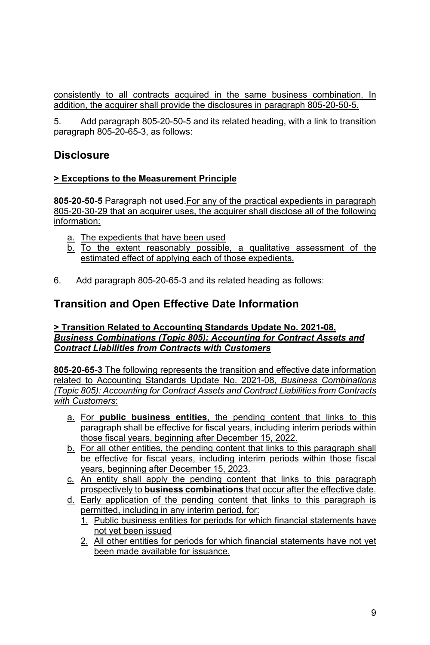consistently to all contracts acquired in the same business combination. In addition, the acquirer shall provide the disclosures in paragraph 805-20-50-5.

5. Add paragraph 805-20-50-5 and its related heading, with a link to transition paragraph 805-20-65-3, as follows:

### **Disclosure**

#### **> Exceptions to the Measurement Principle**

**805-20-50-5** Paragraph not used.For any of the practical expedients in paragraph 805-20-30-29 that an acquirer uses, the acquirer shall disclose all of the following information:

- a. The expedients that have been used
- b. To the extent reasonably possible, a qualitative assessment of the estimated effect of applying each of those expedients.
- 6. Add paragraph 805-20-65-3 and its related heading as follows:

### **Transition and Open Effective Date Information**

#### **> Transition Related to Accounting Standards Update No. 2021-08,** *Business Combinations (Topic 805): Accounting for Contract Assets and Contract Liabilities from Contracts with Customers*

**805-20-65-3** The following represents the transition and effective date information related to Accounting Standards Update No. 2021-08*, Business Combinations (Topic 805): Accounting for Contract Assets and Contract Liabilities from Contracts with Customers*:

- a. For **public business entities**, the pending content that links to this paragraph shall be effective for fiscal years, including interim periods within those fiscal years, beginning after December 15, 2022.
- b. For all other entities, the pending content that links to this paragraph shall be effective for fiscal years, including interim periods within those fiscal years, beginning after December 15, 2023.
- c. An entity shall apply the pending content that links to this paragraph prospectively to **business combinations** that occur after the effective date.
- d. Early application of the pending content that links to this paragraph is permitted, including in any interim period, for:
	- 1. Public business entities for periods for which financial statements have not yet been issued
	- 2. All other entities for periods for which financial statements have not yet been made available for issuance.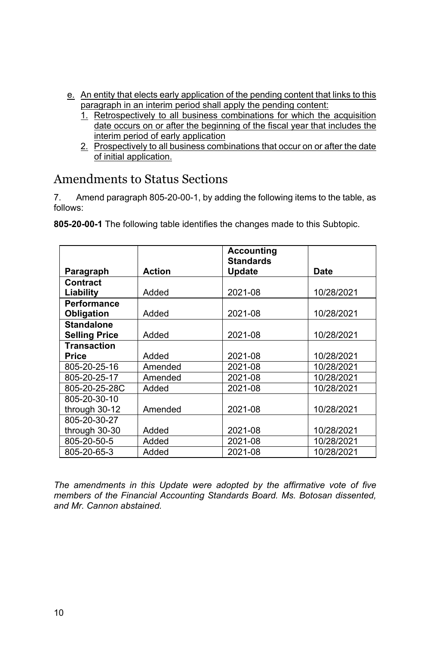- e. An entity that elects early application of the pending content that links to this paragraph in an interim period shall apply the pending content:
	- 1. Retrospectively to all business combinations for which the acquisition date occurs on or after the beginning of the fiscal year that includes the interim period of early application
	- 2. Prospectively to all business combinations that occur on or after the date of initial application.

# Amendments to Status Sections

7. Amend paragraph 805-20-00-1, by adding the following items to the table, as follows:

|  | 805-20-00-1 The following table identifies the changes made to this Subtopic. |  |  |
|--|-------------------------------------------------------------------------------|--|--|
|  |                                                                               |  |  |

|                      |               | <b>Accounting</b><br><b>Standards</b> |            |
|----------------------|---------------|---------------------------------------|------------|
| Paragraph            | <b>Action</b> | <b>Update</b>                         | Date       |
| <b>Contract</b>      |               |                                       |            |
| Liability            | Added         | 2021-08                               | 10/28/2021 |
| <b>Performance</b>   |               |                                       |            |
| Obligation           | Added         | 2021-08                               | 10/28/2021 |
| <b>Standalone</b>    |               |                                       |            |
| <b>Selling Price</b> | Added         | 2021-08                               | 10/28/2021 |
| <b>Transaction</b>   |               |                                       |            |
| Price                | Added         | 2021-08                               | 10/28/2021 |
| 805-20-25-16         | Amended       | 2021-08                               | 10/28/2021 |
| 805-20-25-17         | Amended       | 2021-08                               | 10/28/2021 |
| 805-20-25-28C        | Added         | 2021-08                               | 10/28/2021 |
| 805-20-30-10         |               |                                       |            |
| through 30-12        | Amended       | 2021-08                               | 10/28/2021 |
| 805-20-30-27         |               |                                       |            |
| through 30-30        | Added         | 2021-08                               | 10/28/2021 |
| 805-20-50-5          | Added         | 2021-08                               | 10/28/2021 |
| 805-20-65-3          | Added         | 2021-08                               | 10/28/2021 |

*The amendments in this Update were adopted by the affirmative vote of five members of the Financial Accounting Standards Board. Ms. Botosan dissented, and Mr. Cannon abstained.*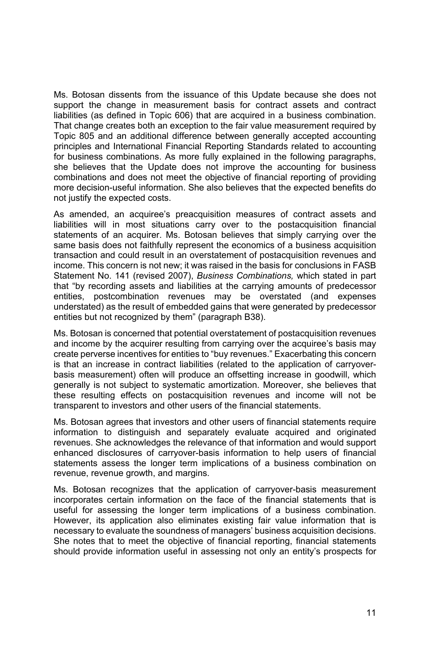Ms. Botosan dissents from the issuance of this Update because she does not support the change in measurement basis for contract assets and contract liabilities (as defined in Topic 606) that are acquired in a business combination. That change creates both an exception to the fair value measurement required by Topic 805 and an additional difference between generally accepted accounting principles and International Financial Reporting Standards related to accounting for business combinations. As more fully explained in the following paragraphs, she believes that the Update does not improve the accounting for business combinations and does not meet the objective of financial reporting of providing more decision-useful information. She also believes that the expected benefits do not justify the expected costs.

As amended, an acquiree's preacquisition measures of contract assets and liabilities will in most situations carry over to the postacquisition financial statements of an acquirer. Ms. Botosan believes that simply carrying over the same basis does not faithfully represent the economics of a business acquisition transaction and could result in an overstatement of postacquisition revenues and income. This concern is not new; it was raised in the basis for conclusions in FASB Statement No. 141 (revised 2007), *Business Combinations,* which stated in part that "by recording assets and liabilities at the carrying amounts of predecessor entities, postcombination revenues may be overstated (and expenses understated) as the result of embedded gains that were generated by predecessor entities but not recognized by them" (paragraph B38).

Ms. Botosan is concerned that potential overstatement of postacquisition revenues and income by the acquirer resulting from carrying over the acquiree's basis may create perverse incentives for entities to "buy revenues." Exacerbating this concern is that an increase in contract liabilities (related to the application of carryoverbasis measurement) often will produce an offsetting increase in goodwill, which generally is not subject to systematic amortization. Moreover, she believes that these resulting effects on postacquisition revenues and income will not be transparent to investors and other users of the financial statements.

Ms. Botosan agrees that investors and other users of financial statements require information to distinguish and separately evaluate acquired and originated revenues. She acknowledges the relevance of that information and would support enhanced disclosures of carryover-basis information to help users of financial statements assess the longer term implications of a business combination on revenue, revenue growth, and margins.

Ms. Botosan recognizes that the application of carryover-basis measurement incorporates certain information on the face of the financial statements that is useful for assessing the longer term implications of a business combination. However, its application also eliminates existing fair value information that is necessary to evaluate the soundness of managers' business acquisition decisions. She notes that to meet the objective of financial reporting, financial statements should provide information useful in assessing not only an entity's prospects for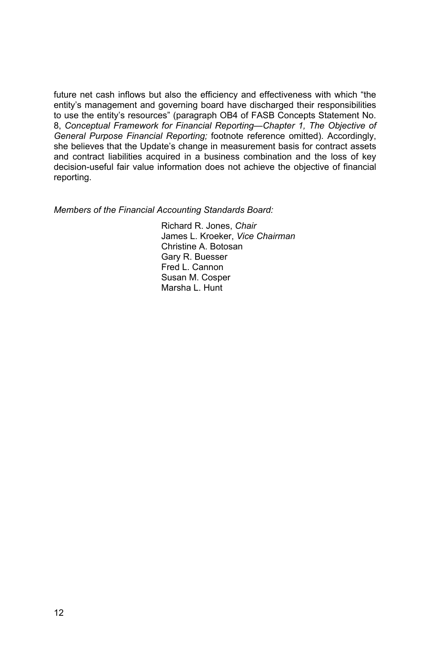future net cash inflows but also the efficiency and effectiveness with which "the entity's management and governing board have discharged their responsibilities to use the entity's resources" (paragraph OB4 of FASB Concepts Statement No. 8, *Conceptual Framework for Financial Reporting—Chapter 1, The Objective of General Purpose Financial Reporting;* footnote reference omitted). Accordingly, she believes that the Update's change in measurement basis for contract assets and contract liabilities acquired in a business combination and the loss of key decision-useful fair value information does not achieve the objective of financial reporting.

*Members of the Financial Accounting Standards Board:* 

Richard R. Jones, *Chair*  James L. Kroeker, *Vice Chairman* Christine A. Botosan Gary R. Buesser Fred L. Cannon Susan M. Cosper Marsha L. Hunt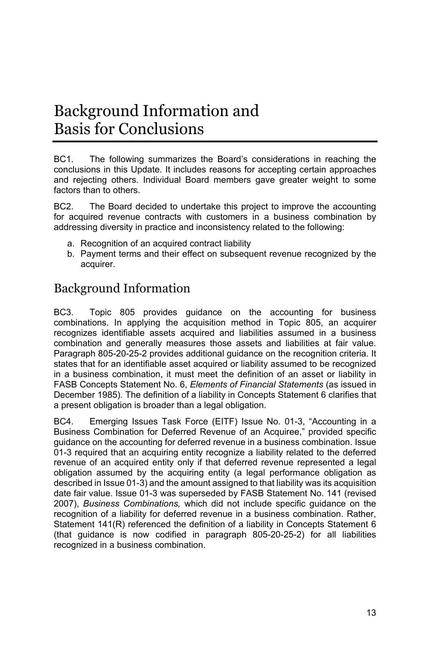# Background Information and Basis for Conclusions

BC1. The following summarizes the Board's considerations in reaching the conclusions in this Update. It includes reasons for accepting certain approaches and rejecting others. Individual Board members gave greater weight to some factors than to others.

BC2. The Board decided to undertake this project to improve the accounting for acquired revenue contracts with customers in a business combination by addressing diversity in practice and inconsistency related to the following:

- a. Recognition of an acquired contract liability
- b. Payment terms and their effect on subsequent revenue recognized by the acquirer.

# Background Information

BC3. Topic 805 provides guidance on the accounting for business combinations. In applying the acquisition method in Topic 805, an acquirer recognizes identifiable assets acquired and liabilities assumed in a business combination and generally measures those assets and liabilities at fair value. Paragraph 805-20-25-2 provides additional guidance on the recognition criteria. It states that for an identifiable asset acquired or liability assumed to be recognized in a business combination, it must meet the definition of an asset or liability in FASB Concepts Statement No. 6, *Elements of Financial Statements* (as issued in December 1985)*.* The definition of a liability in Concepts Statement 6 clarifies that a present obligation is broader than a legal obligation.

BC4. Emerging Issues Task Force (EITF) Issue No. 01-3, "Accounting in a Business Combination for Deferred Revenue of an Acquiree," provided specific guidance on the accounting for deferred revenue in a business combination. Issue 01-3 required that an acquiring entity recognize a liability related to the deferred revenue of an acquired entity only if that deferred revenue represented a legal obligation assumed by the acquiring entity (a legal performance obligation as described in Issue 01-3) and the amount assigned to that liability was its acquisition date fair value. Issue 01-3 was superseded by FASB Statement No. 141 (revised 2007), *Business Combinations,* which did not include specific guidance on the recognition of a liability for deferred revenue in a business combination. Rather, Statement 141(R) referenced the definition of a liability in Concepts Statement 6 (that guidance is now codified in paragraph 805-20-25-2) for all liabilities recognized in a business combination.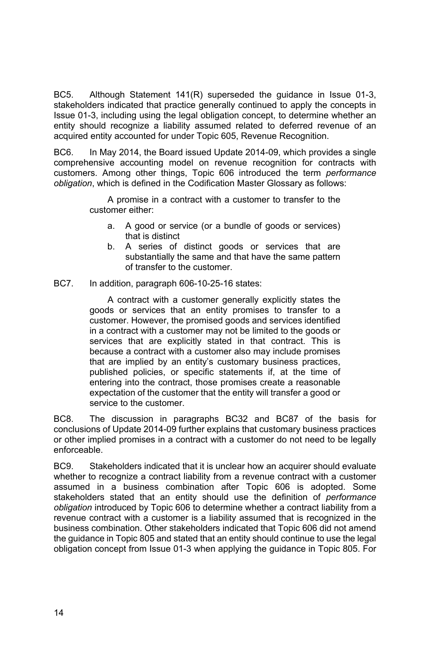BC5. Although Statement 141(R) superseded the guidance in Issue 01-3, stakeholders indicated that practice generally continued to apply the concepts in Issue 01-3, including using the legal obligation concept, to determine whether an entity should recognize a liability assumed related to deferred revenue of an acquired entity accounted for under Topic 605, Revenue Recognition.

BC6. In May 2014, the Board issued Update 2014-09, which provides a single comprehensive accounting model on revenue recognition for contracts with customers. Among other things, Topic 606 introduced the term *performance obligation*, which is defined in the Codification Master Glossary as follows:

> A promise in a contract with a customer to transfer to the customer either:

- a. A good or service (or a bundle of goods or services) that is distinct
- b. A series of distinct goods or services that are substantially the same and that have the same pattern of transfer to the customer.
- BC7. In addition, paragraph 606-10-25-16 states:

 A contract with a customer generally explicitly states the goods or services that an entity promises to transfer to a customer. However, the promised goods and services identified in a contract with a customer may not be limited to the goods or services that are explicitly stated in that contract. This is because a contract with a customer also may include promises that are implied by an entity's customary business practices, published policies, or specific statements if, at the time of entering into the contract, those promises create a reasonable expectation of the customer that the entity will transfer a good or service to the customer.

BC8. The discussion in paragraphs BC32 and BC87 of the basis for conclusions of Update 2014-09 further explains that customary business practices or other implied promises in a contract with a customer do not need to be legally enforceable.

BC9. Stakeholders indicated that it is unclear how an acquirer should evaluate whether to recognize a contract liability from a revenue contract with a customer assumed in a business combination after Topic 606 is adopted. Some stakeholders stated that an entity should use the definition of *performance obligation* introduced by Topic 606 to determine whether a contract liability from a revenue contract with a customer is a liability assumed that is recognized in the business combination. Other stakeholders indicated that Topic 606 did not amend the guidance in Topic 805 and stated that an entity should continue to use the legal obligation concept from Issue 01-3 when applying the guidance in Topic 805. For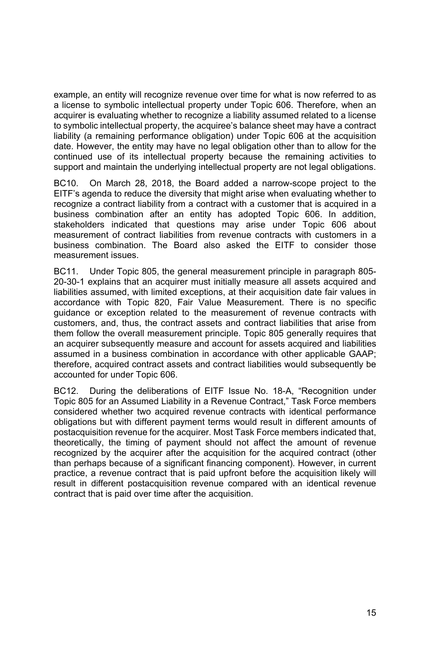example, an entity will recognize revenue over time for what is now referred to as a license to symbolic intellectual property under Topic 606. Therefore, when an acquirer is evaluating whether to recognize a liability assumed related to a license to symbolic intellectual property, the acquiree's balance sheet may have a contract liability (a remaining performance obligation) under Topic 606 at the acquisition date. However, the entity may have no legal obligation other than to allow for the continued use of its intellectual property because the remaining activities to support and maintain the underlying intellectual property are not legal obligations.

BC10. On March 28, 2018, the Board added a narrow-scope project to the EITF's agenda to reduce the diversity that might arise when evaluating whether to recognize a contract liability from a contract with a customer that is acquired in a business combination after an entity has adopted Topic 606. In addition, stakeholders indicated that questions may arise under Topic 606 about measurement of contract liabilities from revenue contracts with customers in a business combination. The Board also asked the EITF to consider those measurement issues.

BC11. Under Topic 805, the general measurement principle in paragraph 805- 20-30-1 explains that an acquirer must initially measure all assets acquired and liabilities assumed, with limited exceptions, at their acquisition date fair values in accordance with Topic 820, Fair Value Measurement. There is no specific guidance or exception related to the measurement of revenue contracts with customers, and, thus, the contract assets and contract liabilities that arise from them follow the overall measurement principle. Topic 805 generally requires that an acquirer subsequently measure and account for assets acquired and liabilities assumed in a business combination in accordance with other applicable GAAP; therefore, acquired contract assets and contract liabilities would subsequently be accounted for under Topic 606.

BC12. During the deliberations of EITF Issue No. 18-A, "Recognition under Topic 805 for an Assumed Liability in a Revenue Contract," Task Force members considered whether two acquired revenue contracts with identical performance obligations but with different payment terms would result in different amounts of postacquisition revenue for the acquirer. Most Task Force members indicated that, theoretically, the timing of payment should not affect the amount of revenue recognized by the acquirer after the acquisition for the acquired contract (other than perhaps because of a significant financing component). However, in current practice, a revenue contract that is paid upfront before the acquisition likely will result in different postacquisition revenue compared with an identical revenue contract that is paid over time after the acquisition.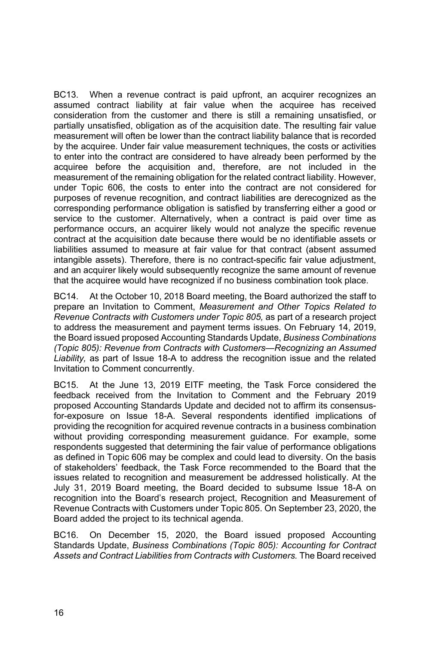BC13. When a revenue contract is paid upfront, an acquirer recognizes an assumed contract liability at fair value when the acquiree has received consideration from the customer and there is still a remaining unsatisfied, or partially unsatisfied, obligation as of the acquisition date. The resulting fair value measurement will often be lower than the contract liability balance that is recorded by the acquiree. Under fair value measurement techniques, the costs or activities to enter into the contract are considered to have already been performed by the acquiree before the acquisition and, therefore, are not included in the measurement of the remaining obligation for the related contract liability. However, under Topic 606, the costs to enter into the contract are not considered for purposes of revenue recognition, and contract liabilities are derecognized as the corresponding performance obligation is satisfied by transferring either a good or service to the customer. Alternatively, when a contract is paid over time as performance occurs, an acquirer likely would not analyze the specific revenue contract at the acquisition date because there would be no identifiable assets or liabilities assumed to measure at fair value for that contract (absent assumed intangible assets). Therefore, there is no contract-specific fair value adjustment, and an acquirer likely would subsequently recognize the same amount of revenue that the acquiree would have recognized if no business combination took place.

BC14. At the October 10, 2018 Board meeting, the Board authorized the staff to prepare an Invitation to Comment, *Measurement and Other Topics Related to Revenue Contracts with Customers under Topic 805,* as part of a research project to address the measurement and payment terms issues. On February 14, 2019, the Board issued proposed Accounting Standards Update, *Business Combinations (Topic 805): Revenue from Contracts with Customers—Recognizing an Assumed Liability,* as part of Issue 18-A to address the recognition issue and the related Invitation to Comment concurrently.

BC15. At the June 13, 2019 EITF meeting, the Task Force considered the feedback received from the Invitation to Comment and the February 2019 proposed Accounting Standards Update and decided not to affirm its consensusfor-exposure on Issue 18-A. Several respondents identified implications of providing the recognition for acquired revenue contracts in a business combination without providing corresponding measurement guidance. For example, some respondents suggested that determining the fair value of performance obligations as defined in Topic 606 may be complex and could lead to diversity. On the basis of stakeholders' feedback, the Task Force recommended to the Board that the issues related to recognition and measurement be addressed holistically. At the July 31, 2019 Board meeting, the Board decided to subsume Issue 18-A on recognition into the Board's research project, Recognition and Measurement of Revenue Contracts with Customers under Topic 805. On September 23, 2020, the Board added the project to its technical agenda.

BC16. On December 15, 2020, the Board issued proposed Accounting Standards Update, *Business Combinations (Topic 805): Accounting for Contract Assets and Contract Liabilities from Contracts with Customers.* The Board received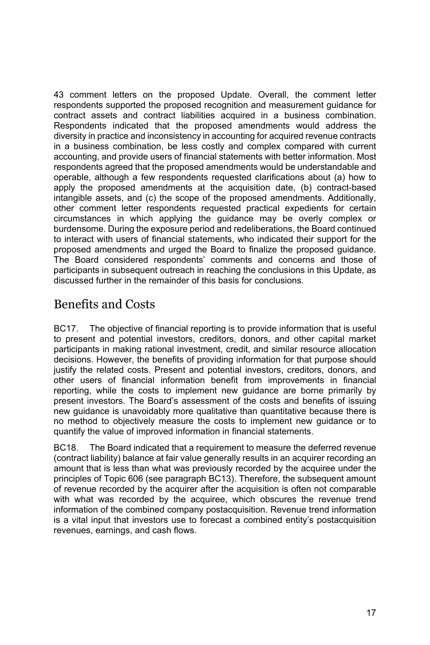43 comment letters on the proposed Update. Overall, the comment letter respondents supported the proposed recognition and measurement guidance for contract assets and contract liabilities acquired in a business combination. Respondents indicated that the proposed amendments would address the diversity in practice and inconsistency in accounting for acquired revenue contracts in a business combination, be less costly and complex compared with current accounting, and provide users of financial statements with better information. Most respondents agreed that the proposed amendments would be understandable and operable, although a few respondents requested clarifications about (a) how to apply the proposed amendments at the acquisition date, (b) contract-based intangible assets, and (c) the scope of the proposed amendments. Additionally, other comment letter respondents requested practical expedients for certain circumstances in which applying the guidance may be overly complex or burdensome. During the exposure period and redeliberations, the Board continued to interact with users of financial statements, who indicated their support for the proposed amendments and urged the Board to finalize the proposed guidance. The Board considered respondents' comments and concerns and those of participants in subsequent outreach in reaching the conclusions in this Update, as discussed further in the remainder of this basis for conclusions.

# Benefits and Costs

BC17. The objective of financial reporting is to provide information that is useful to present and potential investors, creditors, donors, and other capital market participants in making rational investment, credit, and similar resource allocation decisions. However, the benefits of providing information for that purpose should justify the related costs. Present and potential investors, creditors, donors, and other users of financial information benefit from improvements in financial reporting, while the costs to implement new guidance are borne primarily by present investors. The Board's assessment of the costs and benefits of issuing new guidance is unavoidably more qualitative than quantitative because there is no method to objectively measure the costs to implement new guidance or to quantify the value of improved information in financial statements.

BC18. The Board indicated that a requirement to measure the deferred revenue (contract liability) balance at fair value generally results in an acquirer recording an amount that is less than what was previously recorded by the acquiree under the principles of Topic 606 (see paragraph BC13). Therefore, the subsequent amount of revenue recorded by the acquirer after the acquisition is often not comparable with what was recorded by the acquiree, which obscures the revenue trend information of the combined company postacquisition. Revenue trend information is a vital input that investors use to forecast a combined entity's postacquisition revenues, earnings, and cash flows.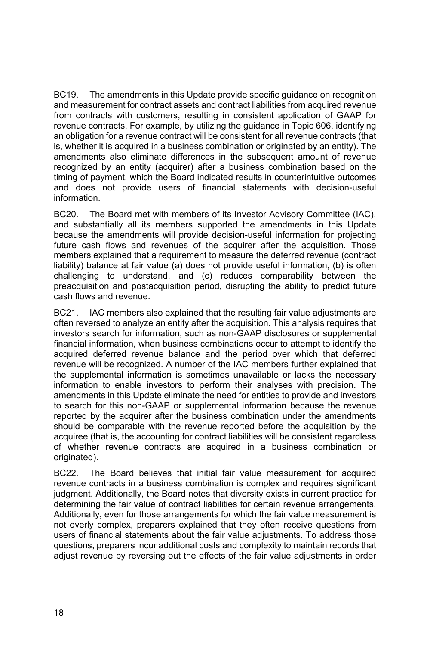BC19. The amendments in this Update provide specific guidance on recognition and measurement for contract assets and contract liabilities from acquired revenue from contracts with customers, resulting in consistent application of GAAP for revenue contracts. For example, by utilizing the guidance in Topic 606, identifying an obligation for a revenue contract will be consistent for all revenue contracts (that is, whether it is acquired in a business combination or originated by an entity). The amendments also eliminate differences in the subsequent amount of revenue recognized by an entity (acquirer) after a business combination based on the timing of payment, which the Board indicated results in counterintuitive outcomes and does not provide users of financial statements with decision-useful information.

BC20. The Board met with members of its Investor Advisory Committee (IAC), and substantially all its members supported the amendments in this Update because the amendments will provide decision-useful information for projecting future cash flows and revenues of the acquirer after the acquisition. Those members explained that a requirement to measure the deferred revenue (contract liability) balance at fair value (a) does not provide useful information, (b) is often challenging to understand, and (c) reduces comparability between the preacquisition and postacquisition period, disrupting the ability to predict future cash flows and revenue.

BC21. IAC members also explained that the resulting fair value adjustments are often reversed to analyze an entity after the acquisition. This analysis requires that investors search for information, such as non-GAAP disclosures or supplemental financial information, when business combinations occur to attempt to identify the acquired deferred revenue balance and the period over which that deferred revenue will be recognized. A number of the IAC members further explained that the supplemental information is sometimes unavailable or lacks the necessary information to enable investors to perform their analyses with precision. The amendments in this Update eliminate the need for entities to provide and investors to search for this non-GAAP or supplemental information because the revenue reported by the acquirer after the business combination under the amendments should be comparable with the revenue reported before the acquisition by the acquiree (that is, the accounting for contract liabilities will be consistent regardless of whether revenue contracts are acquired in a business combination or originated).

BC22. The Board believes that initial fair value measurement for acquired revenue contracts in a business combination is complex and requires significant judgment. Additionally, the Board notes that diversity exists in current practice for determining the fair value of contract liabilities for certain revenue arrangements. Additionally, even for those arrangements for which the fair value measurement is not overly complex, preparers explained that they often receive questions from users of financial statements about the fair value adjustments. To address those questions, preparers incur additional costs and complexity to maintain records that adjust revenue by reversing out the effects of the fair value adjustments in order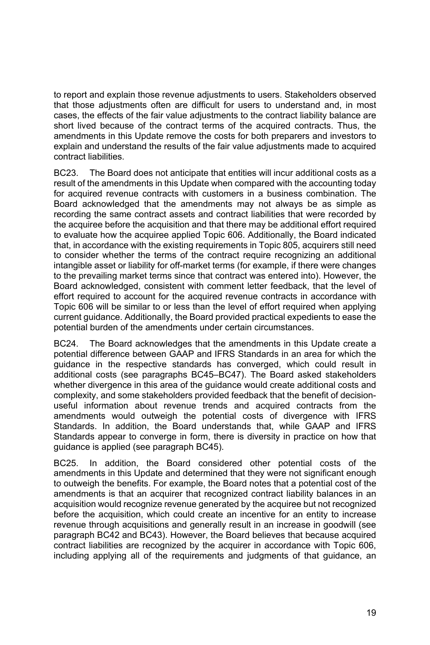to report and explain those revenue adjustments to users. Stakeholders observed that those adjustments often are difficult for users to understand and, in most cases, the effects of the fair value adjustments to the contract liability balance are short lived because of the contract terms of the acquired contracts. Thus, the amendments in this Update remove the costs for both preparers and investors to explain and understand the results of the fair value adjustments made to acquired contract liabilities.

BC23. The Board does not anticipate that entities will incur additional costs as a result of the amendments in this Update when compared with the accounting today for acquired revenue contracts with customers in a business combination. The Board acknowledged that the amendments may not always be as simple as recording the same contract assets and contract liabilities that were recorded by the acquiree before the acquisition and that there may be additional effort required to evaluate how the acquiree applied Topic 606. Additionally, the Board indicated that, in accordance with the existing requirements in Topic 805, acquirers still need to consider whether the terms of the contract require recognizing an additional intangible asset or liability for off-market terms (for example, if there were changes to the prevailing market terms since that contract was entered into). However, the Board acknowledged, consistent with comment letter feedback, that the level of effort required to account for the acquired revenue contracts in accordance with Topic 606 will be similar to or less than the level of effort required when applying current guidance. Additionally, the Board provided practical expedients to ease the potential burden of the amendments under certain circumstances.

BC24. The Board acknowledges that the amendments in this Update create a potential difference between GAAP and IFRS Standards in an area for which the guidance in the respective standards has converged, which could result in additional costs (see paragraphs BC45–BC47). The Board asked stakeholders whether divergence in this area of the guidance would create additional costs and complexity, and some stakeholders provided feedback that the benefit of decisionuseful information about revenue trends and acquired contracts from the amendments would outweigh the potential costs of divergence with IFRS Standards. In addition, the Board understands that, while GAAP and IFRS Standards appear to converge in form, there is diversity in practice on how that guidance is applied (see paragraph BC45).

BC25. In addition, the Board considered other potential costs of the amendments in this Update and determined that they were not significant enough to outweigh the benefits. For example, the Board notes that a potential cost of the amendments is that an acquirer that recognized contract liability balances in an acquisition would recognize revenue generated by the acquiree but not recognized before the acquisition, which could create an incentive for an entity to increase revenue through acquisitions and generally result in an increase in goodwill (see paragraph BC42 and BC43). However, the Board believes that because acquired contract liabilities are recognized by the acquirer in accordance with Topic 606, including applying all of the requirements and judgments of that guidance, an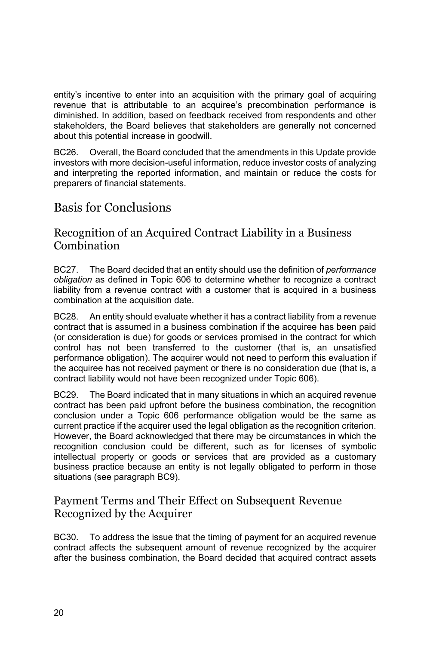entity's incentive to enter into an acquisition with the primary goal of acquiring revenue that is attributable to an acquiree's precombination performance is diminished. In addition, based on feedback received from respondents and other stakeholders, the Board believes that stakeholders are generally not concerned about this potential increase in goodwill.

BC26. Overall, the Board concluded that the amendments in this Update provide investors with more decision-useful information, reduce investor costs of analyzing and interpreting the reported information, and maintain or reduce the costs for preparers of financial statements.

# Basis for Conclusions

### Recognition of an Acquired Contract Liability in a Business **Combination**

BC27. The Board decided that an entity should use the definition of *performance obligation* as defined in Topic 606 to determine whether to recognize a contract liability from a revenue contract with a customer that is acquired in a business combination at the acquisition date.

BC28. An entity should evaluate whether it has a contract liability from a revenue contract that is assumed in a business combination if the acquiree has been paid (or consideration is due) for goods or services promised in the contract for which control has not been transferred to the customer (that is, an unsatisfied performance obligation). The acquirer would not need to perform this evaluation if the acquiree has not received payment or there is no consideration due (that is, a contract liability would not have been recognized under Topic 606).

BC29. The Board indicated that in many situations in which an acquired revenue contract has been paid upfront before the business combination, the recognition conclusion under a Topic 606 performance obligation would be the same as current practice if the acquirer used the legal obligation as the recognition criterion. However, the Board acknowledged that there may be circumstances in which the recognition conclusion could be different, such as for licenses of symbolic intellectual property or goods or services that are provided as a customary business practice because an entity is not legally obligated to perform in those situations (see paragraph BC9).

### Payment Terms and Their Effect on Subsequent Revenue Recognized by the Acquirer

BC30. To address the issue that the timing of payment for an acquired revenue contract affects the subsequent amount of revenue recognized by the acquirer after the business combination, the Board decided that acquired contract assets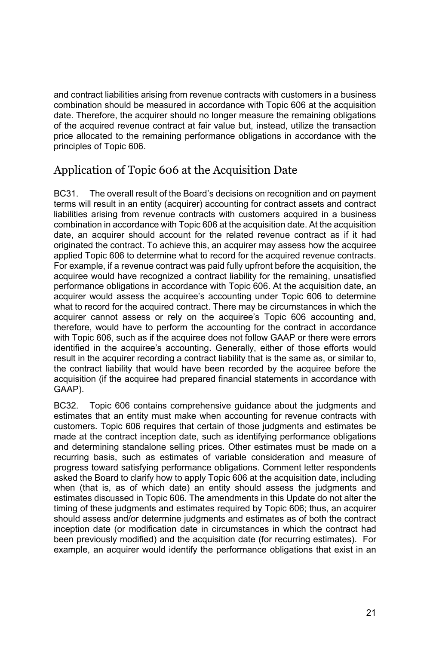and contract liabilities arising from revenue contracts with customers in a business combination should be measured in accordance with Topic 606 at the acquisition date. Therefore, the acquirer should no longer measure the remaining obligations of the acquired revenue contract at fair value but, instead, utilize the transaction price allocated to the remaining performance obligations in accordance with the principles of Topic 606.

# Application of Topic 606 at the Acquisition Date

BC31. The overall result of the Board's decisions on recognition and on payment terms will result in an entity (acquirer) accounting for contract assets and contract liabilities arising from revenue contracts with customers acquired in a business combination in accordance with Topic 606 at the acquisition date. At the acquisition date, an acquirer should account for the related revenue contract as if it had originated the contract. To achieve this, an acquirer may assess how the acquiree applied Topic 606 to determine what to record for the acquired revenue contracts. For example, if a revenue contract was paid fully upfront before the acquisition, the acquiree would have recognized a contract liability for the remaining, unsatisfied performance obligations in accordance with Topic 606. At the acquisition date, an acquirer would assess the acquiree's accounting under Topic 606 to determine what to record for the acquired contract. There may be circumstances in which the acquirer cannot assess or rely on the acquiree's Topic 606 accounting and, therefore, would have to perform the accounting for the contract in accordance with Topic 606, such as if the acquiree does not follow GAAP or there were errors identified in the acquiree's accounting. Generally, either of those efforts would result in the acquirer recording a contract liability that is the same as, or similar to, the contract liability that would have been recorded by the acquiree before the acquisition (if the acquiree had prepared financial statements in accordance with GAAP).

BC32. Topic 606 contains comprehensive guidance about the judgments and estimates that an entity must make when accounting for revenue contracts with customers. Topic 606 requires that certain of those judgments and estimates be made at the contract inception date, such as identifying performance obligations and determining standalone selling prices. Other estimates must be made on a recurring basis, such as estimates of variable consideration and measure of progress toward satisfying performance obligations. Comment letter respondents asked the Board to clarify how to apply Topic 606 at the acquisition date, including when (that is, as of which date) an entity should assess the judgments and estimates discussed in Topic 606. The amendments in this Update do not alter the timing of these judgments and estimates required by Topic 606; thus, an acquirer should assess and/or determine judgments and estimates as of both the contract inception date (or modification date in circumstances in which the contract had been previously modified) and the acquisition date (for recurring estimates). For example, an acquirer would identify the performance obligations that exist in an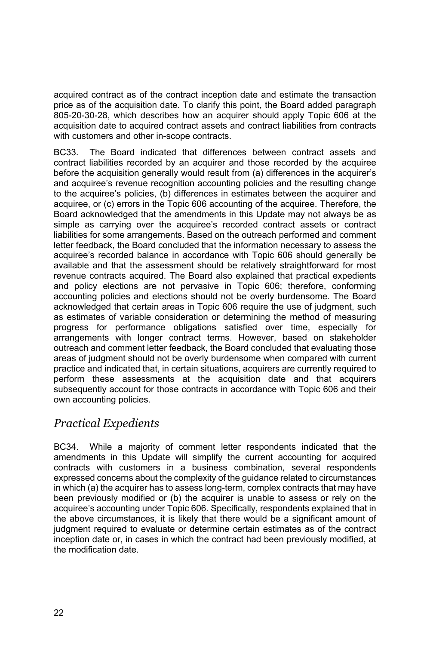acquired contract as of the contract inception date and estimate the transaction price as of the acquisition date. To clarify this point, the Board added paragraph 805-20-30-28, which describes how an acquirer should apply Topic 606 at the acquisition date to acquired contract assets and contract liabilities from contracts with customers and other in-scope contracts.

BC33. The Board indicated that differences between contract assets and contract liabilities recorded by an acquirer and those recorded by the acquiree before the acquisition generally would result from (a) differences in the acquirer's and acquiree's revenue recognition accounting policies and the resulting change to the acquiree's policies, (b) differences in estimates between the acquirer and acquiree, or (c) errors in the Topic 606 accounting of the acquiree. Therefore, the Board acknowledged that the amendments in this Update may not always be as simple as carrying over the acquiree's recorded contract assets or contract liabilities for some arrangements. Based on the outreach performed and comment letter feedback, the Board concluded that the information necessary to assess the acquiree's recorded balance in accordance with Topic 606 should generally be available and that the assessment should be relatively straightforward for most revenue contracts acquired. The Board also explained that practical expedients and policy elections are not pervasive in Topic 606; therefore, conforming accounting policies and elections should not be overly burdensome. The Board acknowledged that certain areas in Topic 606 require the use of judgment, such as estimates of variable consideration or determining the method of measuring progress for performance obligations satisfied over time, especially for arrangements with longer contract terms. However, based on stakeholder outreach and comment letter feedback, the Board concluded that evaluating those areas of judgment should not be overly burdensome when compared with current practice and indicated that, in certain situations, acquirers are currently required to perform these assessments at the acquisition date and that acquirers subsequently account for those contracts in accordance with Topic 606 and their own accounting policies.

## *Practical Expedients*

BC34. While a majority of comment letter respondents indicated that the amendments in this Update will simplify the current accounting for acquired contracts with customers in a business combination, several respondents expressed concerns about the complexity of the guidance related to circumstances in which (a) the acquirer has to assess long-term, complex contracts that may have been previously modified or (b) the acquirer is unable to assess or rely on the acquiree's accounting under Topic 606. Specifically, respondents explained that in the above circumstances, it is likely that there would be a significant amount of judgment required to evaluate or determine certain estimates as of the contract inception date or, in cases in which the contract had been previously modified, at the modification date.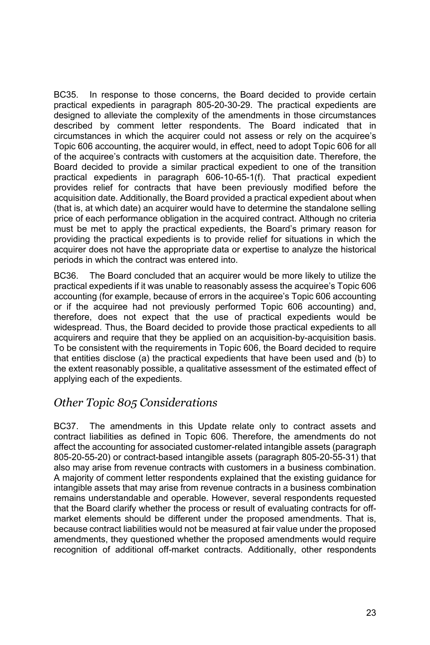BC35. In response to those concerns, the Board decided to provide certain practical expedients in paragraph 805-20-30-29. The practical expedients are designed to alleviate the complexity of the amendments in those circumstances described by comment letter respondents. The Board indicated that in circumstances in which the acquirer could not assess or rely on the acquiree's Topic 606 accounting, the acquirer would, in effect, need to adopt Topic 606 for all of the acquiree's contracts with customers at the acquisition date. Therefore, the Board decided to provide a similar practical expedient to one of the transition practical expedients in paragraph 606-10-65-1(f). That practical expedient provides relief for contracts that have been previously modified before the acquisition date. Additionally, the Board provided a practical expedient about when (that is, at which date) an acquirer would have to determine the standalone selling price of each performance obligation in the acquired contract. Although no criteria must be met to apply the practical expedients, the Board's primary reason for providing the practical expedients is to provide relief for situations in which the acquirer does not have the appropriate data or expertise to analyze the historical periods in which the contract was entered into.

BC36. The Board concluded that an acquirer would be more likely to utilize the practical expedients if it was unable to reasonably assess the acquiree's Topic 606 accounting (for example, because of errors in the acquiree's Topic 606 accounting or if the acquiree had not previously performed Topic 606 accounting) and, therefore, does not expect that the use of practical expedients would be widespread. Thus, the Board decided to provide those practical expedients to all acquirers and require that they be applied on an acquisition-by-acquisition basis. To be consistent with the requirements in Topic 606, the Board decided to require that entities disclose (a) the practical expedients that have been used and (b) to the extent reasonably possible, a qualitative assessment of the estimated effect of applying each of the expedients.

### *Other Topic 805 Considerations*

BC37. The amendments in this Update relate only to contract assets and contract liabilities as defined in Topic 606. Therefore, the amendments do not affect the accounting for associated customer-related intangible assets (paragraph 805-20-55-20) or contract-based intangible assets (paragraph 805-20-55-31) that also may arise from revenue contracts with customers in a business combination. A majority of comment letter respondents explained that the existing guidance for intangible assets that may arise from revenue contracts in a business combination remains understandable and operable. However, several respondents requested that the Board clarify whether the process or result of evaluating contracts for offmarket elements should be different under the proposed amendments. That is, because contract liabilities would not be measured at fair value under the proposed amendments, they questioned whether the proposed amendments would require recognition of additional off-market contracts. Additionally, other respondents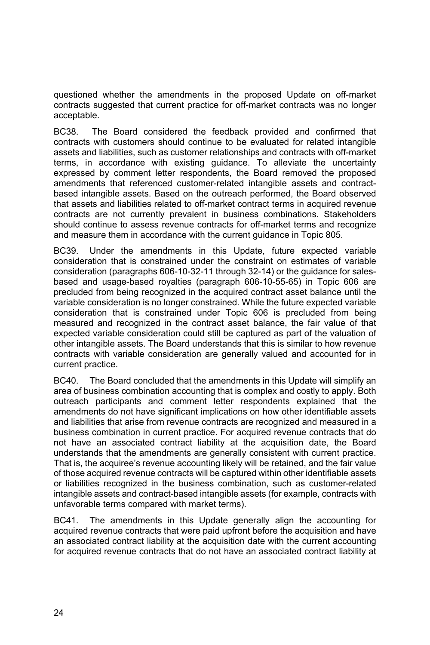questioned whether the amendments in the proposed Update on off-market contracts suggested that current practice for off-market contracts was no longer acceptable.

BC38. The Board considered the feedback provided and confirmed that contracts with customers should continue to be evaluated for related intangible assets and liabilities, such as customer relationships and contracts with off-market terms, in accordance with existing guidance. To alleviate the uncertainty expressed by comment letter respondents, the Board removed the proposed amendments that referenced customer-related intangible assets and contractbased intangible assets. Based on the outreach performed, the Board observed that assets and liabilities related to off-market contract terms in acquired revenue contracts are not currently prevalent in business combinations. Stakeholders should continue to assess revenue contracts for off-market terms and recognize and measure them in accordance with the current guidance in Topic 805.

BC39. Under the amendments in this Update, future expected variable consideration that is constrained under the constraint on estimates of variable consideration (paragraphs 606-10-32-11 through 32-14) or the guidance for salesbased and usage-based royalties (paragraph 606-10-55-65) in Topic 606 are precluded from being recognized in the acquired contract asset balance until the variable consideration is no longer constrained. While the future expected variable consideration that is constrained under Topic 606 is precluded from being measured and recognized in the contract asset balance, the fair value of that expected variable consideration could still be captured as part of the valuation of other intangible assets. The Board understands that this is similar to how revenue contracts with variable consideration are generally valued and accounted for in current practice.

BC40. The Board concluded that the amendments in this Update will simplify an area of business combination accounting that is complex and costly to apply. Both outreach participants and comment letter respondents explained that the amendments do not have significant implications on how other identifiable assets and liabilities that arise from revenue contracts are recognized and measured in a business combination in current practice. For acquired revenue contracts that do not have an associated contract liability at the acquisition date, the Board understands that the amendments are generally consistent with current practice. That is, the acquiree's revenue accounting likely will be retained, and the fair value of those acquired revenue contracts will be captured within other identifiable assets or liabilities recognized in the business combination, such as customer-related intangible assets and contract-based intangible assets (for example, contracts with unfavorable terms compared with market terms).

BC41. The amendments in this Update generally align the accounting for acquired revenue contracts that were paid upfront before the acquisition and have an associated contract liability at the acquisition date with the current accounting for acquired revenue contracts that do not have an associated contract liability at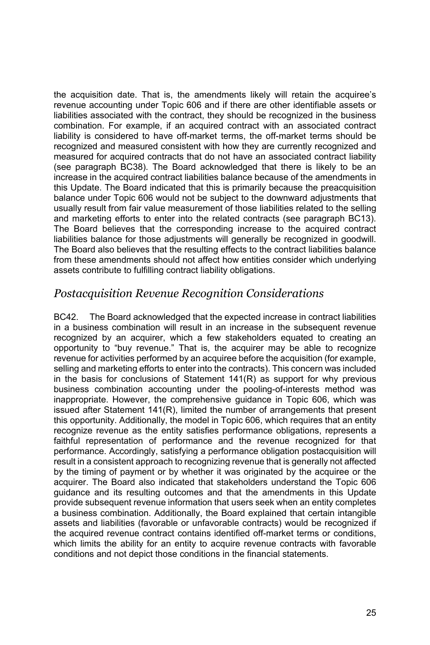the acquisition date. That is, the amendments likely will retain the acquiree's revenue accounting under Topic 606 and if there are other identifiable assets or liabilities associated with the contract, they should be recognized in the business combination. For example, if an acquired contract with an associated contract liability is considered to have off-market terms, the off-market terms should be recognized and measured consistent with how they are currently recognized and measured for acquired contracts that do not have an associated contract liability (see paragraph BC38). The Board acknowledged that there is likely to be an increase in the acquired contract liabilities balance because of the amendments in this Update. The Board indicated that this is primarily because the preacquisition balance under Topic 606 would not be subject to the downward adjustments that usually result from fair value measurement of those liabilities related to the selling and marketing efforts to enter into the related contracts (see paragraph BC13). The Board believes that the corresponding increase to the acquired contract liabilities balance for those adjustments will generally be recognized in goodwill. The Board also believes that the resulting effects to the contract liabilities balance from these amendments should not affect how entities consider which underlying assets contribute to fulfilling contract liability obligations.

### *Postacquisition Revenue Recognition Considerations*

BC42. The Board acknowledged that the expected increase in contract liabilities in a business combination will result in an increase in the subsequent revenue recognized by an acquirer, which a few stakeholders equated to creating an opportunity to "buy revenue." That is, the acquirer may be able to recognize revenue for activities performed by an acquiree before the acquisition (for example, selling and marketing efforts to enter into the contracts). This concern was included in the basis for conclusions of Statement 141(R) as support for why previous business combination accounting under the pooling-of-interests method was inappropriate. However, the comprehensive guidance in Topic 606, which was issued after Statement 141(R), limited the number of arrangements that present this opportunity. Additionally, the model in Topic 606, which requires that an entity recognize revenue as the entity satisfies performance obligations, represents a faithful representation of performance and the revenue recognized for that performance. Accordingly, satisfying a performance obligation postacquisition will result in a consistent approach to recognizing revenue that is generally not affected by the timing of payment or by whether it was originated by the acquiree or the acquirer. The Board also indicated that stakeholders understand the Topic 606 guidance and its resulting outcomes and that the amendments in this Update provide subsequent revenue information that users seek when an entity completes a business combination. Additionally, the Board explained that certain intangible assets and liabilities (favorable or unfavorable contracts) would be recognized if the acquired revenue contract contains identified off-market terms or conditions, which limits the ability for an entity to acquire revenue contracts with favorable conditions and not depict those conditions in the financial statements.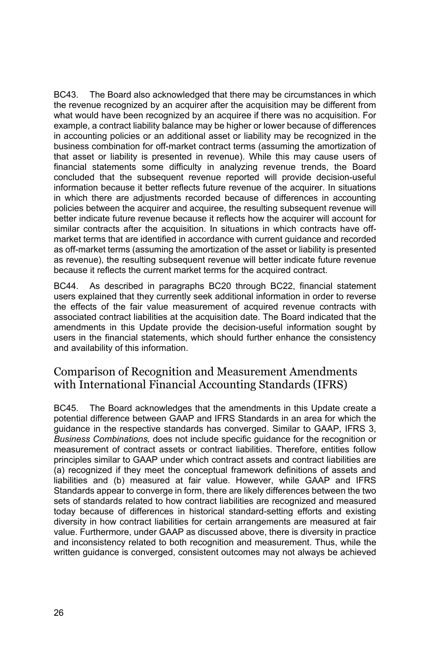BC43. The Board also acknowledged that there may be circumstances in which the revenue recognized by an acquirer after the acquisition may be different from what would have been recognized by an acquiree if there was no acquisition. For example, a contract liability balance may be higher or lower because of differences in accounting policies or an additional asset or liability may be recognized in the business combination for off-market contract terms (assuming the amortization of that asset or liability is presented in revenue). While this may cause users of financial statements some difficulty in analyzing revenue trends, the Board concluded that the subsequent revenue reported will provide decision-useful information because it better reflects future revenue of the acquirer. In situations in which there are adjustments recorded because of differences in accounting policies between the acquirer and acquiree, the resulting subsequent revenue will better indicate future revenue because it reflects how the acquirer will account for similar contracts after the acquisition. In situations in which contracts have offmarket terms that are identified in accordance with current guidance and recorded as off-market terms (assuming the amortization of the asset or liability is presented as revenue), the resulting subsequent revenue will better indicate future revenue because it reflects the current market terms for the acquired contract.

BC44. As described in paragraphs BC20 through BC22, financial statement users explained that they currently seek additional information in order to reverse the effects of the fair value measurement of acquired revenue contracts with associated contract liabilities at the acquisition date. The Board indicated that the amendments in this Update provide the decision-useful information sought by users in the financial statements, which should further enhance the consistency and availability of this information.

### Comparison of Recognition and Measurement Amendments with International Financial Accounting Standards (IFRS)

BC45. The Board acknowledges that the amendments in this Update create a potential difference between GAAP and IFRS Standards in an area for which the guidance in the respective standards has converged. Similar to GAAP, IFRS 3, *Business Combinations,* does not include specific guidance for the recognition or measurement of contract assets or contract liabilities. Therefore, entities follow principles similar to GAAP under which contract assets and contract liabilities are (a) recognized if they meet the conceptual framework definitions of assets and liabilities and (b) measured at fair value. However, while GAAP and IFRS Standards appear to converge in form, there are likely differences between the two sets of standards related to how contract liabilities are recognized and measured today because of differences in historical standard-setting efforts and existing diversity in how contract liabilities for certain arrangements are measured at fair value. Furthermore, under GAAP as discussed above, there is diversity in practice and inconsistency related to both recognition and measurement. Thus, while the written guidance is converged, consistent outcomes may not always be achieved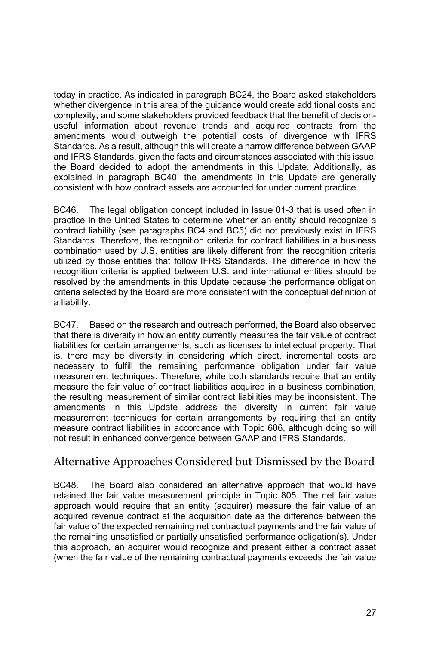today in practice. As indicated in paragraph BC24, the Board asked stakeholders whether divergence in this area of the guidance would create additional costs and complexity, and some stakeholders provided feedback that the benefit of decisionuseful information about revenue trends and acquired contracts from the amendments would outweigh the potential costs of divergence with IFRS Standards. As a result, although this will create a narrow difference between GAAP and IFRS Standards, given the facts and circumstances associated with this issue, the Board decided to adopt the amendments in this Update. Additionally, as explained in paragraph BC40, the amendments in this Update are generally consistent with how contract assets are accounted for under current practice.

BC46. The legal obligation concept included in Issue 01-3 that is used often in practice in the United States to determine whether an entity should recognize a contract liability (see paragraphs BC4 and BC5) did not previously exist in IFRS Standards. Therefore, the recognition criteria for contract liabilities in a business combination used by U.S. entities are likely different from the recognition criteria utilized by those entities that follow IFRS Standards. The difference in how the recognition criteria is applied between U.S. and international entities should be resolved by the amendments in this Update because the performance obligation criteria selected by the Board are more consistent with the conceptual definition of a liability.

BC47. Based on the research and outreach performed, the Board also observed that there is diversity in how an entity currently measures the fair value of contract liabilities for certain arrangements, such as licenses to intellectual property. That is, there may be diversity in considering which direct, incremental costs are necessary to fulfill the remaining performance obligation under fair value measurement techniques. Therefore, while both standards require that an entity measure the fair value of contract liabilities acquired in a business combination, the resulting measurement of similar contract liabilities may be inconsistent. The amendments in this Update address the diversity in current fair value measurement techniques for certain arrangements by requiring that an entity measure contract liabilities in accordance with Topic 606, although doing so will not result in enhanced convergence between GAAP and IFRS Standards.

### Alternative Approaches Considered but Dismissed by the Board

BC48. The Board also considered an alternative approach that would have retained the fair value measurement principle in Topic 805. The net fair value approach would require that an entity (acquirer) measure the fair value of an acquired revenue contract at the acquisition date as the difference between the fair value of the expected remaining net contractual payments and the fair value of the remaining unsatisfied or partially unsatisfied performance obligation(s). Under this approach, an acquirer would recognize and present either a contract asset (when the fair value of the remaining contractual payments exceeds the fair value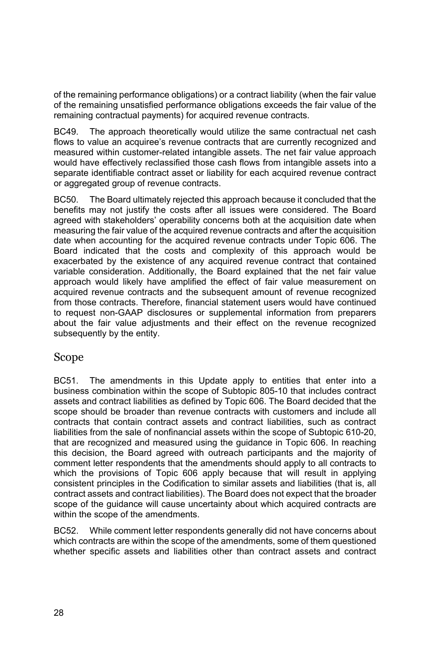of the remaining performance obligations) or a contract liability (when the fair value of the remaining unsatisfied performance obligations exceeds the fair value of the remaining contractual payments) for acquired revenue contracts.

BC49. The approach theoretically would utilize the same contractual net cash flows to value an acquiree's revenue contracts that are currently recognized and measured within customer-related intangible assets. The net fair value approach would have effectively reclassified those cash flows from intangible assets into a separate identifiable contract asset or liability for each acquired revenue contract or aggregated group of revenue contracts.

BC50. The Board ultimately rejected this approach because it concluded that the benefits may not justify the costs after all issues were considered. The Board agreed with stakeholders' operability concerns both at the acquisition date when measuring the fair value of the acquired revenue contracts and after the acquisition date when accounting for the acquired revenue contracts under Topic 606. The Board indicated that the costs and complexity of this approach would be exacerbated by the existence of any acquired revenue contract that contained variable consideration. Additionally, the Board explained that the net fair value approach would likely have amplified the effect of fair value measurement on acquired revenue contracts and the subsequent amount of revenue recognized from those contracts. Therefore, financial statement users would have continued to request non-GAAP disclosures or supplemental information from preparers about the fair value adjustments and their effect on the revenue recognized subsequently by the entity.

### Scope

BC51. The amendments in this Update apply to entities that enter into a business combination within the scope of Subtopic 805-10 that includes contract assets and contract liabilities as defined by Topic 606. The Board decided that the scope should be broader than revenue contracts with customers and include all contracts that contain contract assets and contract liabilities, such as contract liabilities from the sale of nonfinancial assets within the scope of Subtopic 610-20, that are recognized and measured using the guidance in Topic 606. In reaching this decision, the Board agreed with outreach participants and the majority of comment letter respondents that the amendments should apply to all contracts to which the provisions of Topic 606 apply because that will result in applying consistent principles in the Codification to similar assets and liabilities (that is, all contract assets and contract liabilities). The Board does not expect that the broader scope of the guidance will cause uncertainty about which acquired contracts are within the scope of the amendments.

BC52. While comment letter respondents generally did not have concerns about which contracts are within the scope of the amendments, some of them questioned whether specific assets and liabilities other than contract assets and contract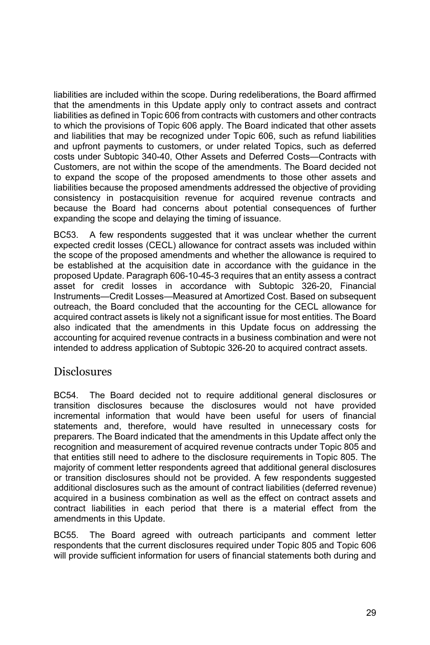liabilities are included within the scope. During redeliberations, the Board affirmed that the amendments in this Update apply only to contract assets and contract liabilities as defined in Topic 606 from contracts with customers and other contracts to which the provisions of Topic 606 apply. The Board indicated that other assets and liabilities that may be recognized under Topic 606, such as refund liabilities and upfront payments to customers, or under related Topics, such as deferred costs under Subtopic 340-40, Other Assets and Deferred Costs—Contracts with Customers, are not within the scope of the amendments. The Board decided not to expand the scope of the proposed amendments to those other assets and liabilities because the proposed amendments addressed the objective of providing consistency in postacquisition revenue for acquired revenue contracts and because the Board had concerns about potential consequences of further expanding the scope and delaying the timing of issuance.

BC53. A few respondents suggested that it was unclear whether the current expected credit losses (CECL) allowance for contract assets was included within the scope of the proposed amendments and whether the allowance is required to be established at the acquisition date in accordance with the guidance in the proposed Update. Paragraph 606-10-45-3 requires that an entity assess a contract asset for credit losses in accordance with Subtopic 326-20, Financial Instruments—Credit Losses—Measured at Amortized Cost. Based on subsequent outreach, the Board concluded that the accounting for the CECL allowance for acquired contract assets is likely not a significant issue for most entities. The Board also indicated that the amendments in this Update focus on addressing the accounting for acquired revenue contracts in a business combination and were not intended to address application of Subtopic 326-20 to acquired contract assets.

### **Disclosures**

BC54. The Board decided not to require additional general disclosures or transition disclosures because the disclosures would not have provided incremental information that would have been useful for users of financial statements and, therefore, would have resulted in unnecessary costs for preparers. The Board indicated that the amendments in this Update affect only the recognition and measurement of acquired revenue contracts under Topic 805 and that entities still need to adhere to the disclosure requirements in Topic 805. The majority of comment letter respondents agreed that additional general disclosures or transition disclosures should not be provided. A few respondents suggested additional disclosures such as the amount of contract liabilities (deferred revenue) acquired in a business combination as well as the effect on contract assets and contract liabilities in each period that there is a material effect from the amendments in this Update.

BC55. The Board agreed with outreach participants and comment letter respondents that the current disclosures required under Topic 805 and Topic 606 will provide sufficient information for users of financial statements both during and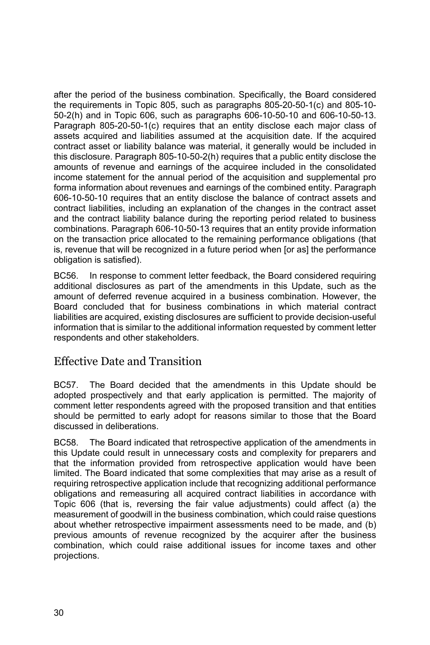after the period of the business combination. Specifically, the Board considered the requirements in Topic 805, such as paragraphs 805-20-50-1(c) and 805-10- 50-2(h) and in Topic 606, such as paragraphs 606-10-50-10 and 606-10-50-13. Paragraph 805-20-50-1(c) requires that an entity disclose each major class of assets acquired and liabilities assumed at the acquisition date. If the acquired contract asset or liability balance was material, it generally would be included in this disclosure. Paragraph 805-10-50-2(h) requires that a public entity disclose the amounts of revenue and earnings of the acquiree included in the consolidated income statement for the annual period of the acquisition and supplemental pro forma information about revenues and earnings of the combined entity. Paragraph 606-10-50-10 requires that an entity disclose the balance of contract assets and contract liabilities, including an explanation of the changes in the contract asset and the contract liability balance during the reporting period related to business combinations. Paragraph 606-10-50-13 requires that an entity provide information on the transaction price allocated to the remaining performance obligations (that is, revenue that will be recognized in a future period when [or as] the performance obligation is satisfied).

BC56. In response to comment letter feedback, the Board considered requiring additional disclosures as part of the amendments in this Update, such as the amount of deferred revenue acquired in a business combination. However, the Board concluded that for business combinations in which material contract liabilities are acquired, existing disclosures are sufficient to provide decision-useful information that is similar to the additional information requested by comment letter respondents and other stakeholders.

### Effective Date and Transition

BC57. The Board decided that the amendments in this Update should be adopted prospectively and that early application is permitted. The majority of comment letter respondents agreed with the proposed transition and that entities should be permitted to early adopt for reasons similar to those that the Board discussed in deliberations.

BC58. The Board indicated that retrospective application of the amendments in this Update could result in unnecessary costs and complexity for preparers and that the information provided from retrospective application would have been limited. The Board indicated that some complexities that may arise as a result of requiring retrospective application include that recognizing additional performance obligations and remeasuring all acquired contract liabilities in accordance with Topic 606 (that is, reversing the fair value adjustments) could affect (a) the measurement of goodwill in the business combination, which could raise questions about whether retrospective impairment assessments need to be made, and (b) previous amounts of revenue recognized by the acquirer after the business combination, which could raise additional issues for income taxes and other projections.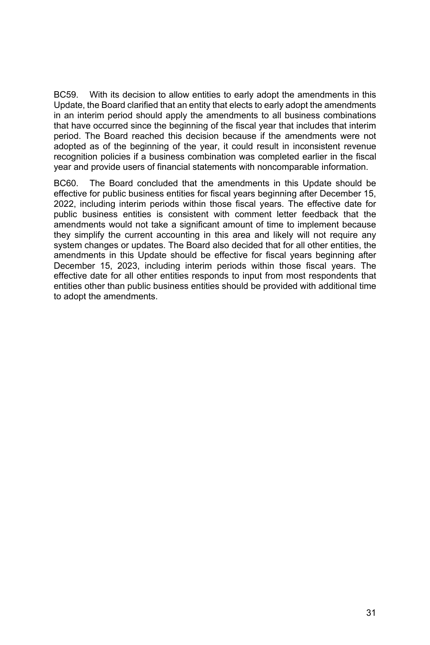BC59. With its decision to allow entities to early adopt the amendments in this Update, the Board clarified that an entity that elects to early adopt the amendments in an interim period should apply the amendments to all business combinations that have occurred since the beginning of the fiscal year that includes that interim period. The Board reached this decision because if the amendments were not adopted as of the beginning of the year, it could result in inconsistent revenue recognition policies if a business combination was completed earlier in the fiscal year and provide users of financial statements with noncomparable information.

BC60. The Board concluded that the amendments in this Update should be effective for public business entities for fiscal years beginning after December 15, 2022, including interim periods within those fiscal years. The effective date for public business entities is consistent with comment letter feedback that the amendments would not take a significant amount of time to implement because they simplify the current accounting in this area and likely will not require any system changes or updates. The Board also decided that for all other entities, the amendments in this Update should be effective for fiscal years beginning after December 15, 2023, including interim periods within those fiscal years. The effective date for all other entities responds to input from most respondents that entities other than public business entities should be provided with additional time to adopt the amendments.